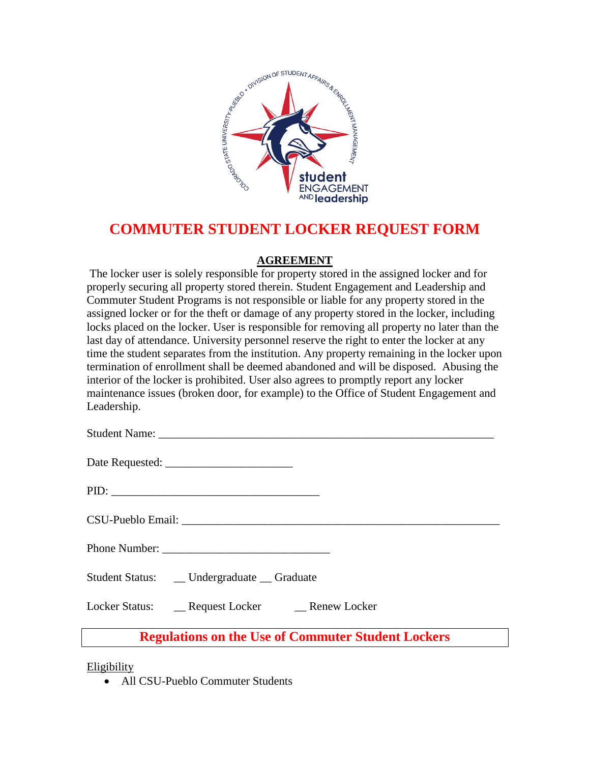

## **COMMUTER STUDENT LOCKER REQUEST FORM**

## **AGREEMENT**

The locker user is solely responsible for property stored in the assigned locker and for properly securing all property stored therein. Student Engagement and Leadership and Commuter Student Programs is not responsible or liable for any property stored in the assigned locker or for the theft or damage of any property stored in the locker, including locks placed on the locker. User is responsible for removing all property no later than the last day of attendance. University personnel reserve the right to enter the locker at any time the student separates from the institution. Any property remaining in the locker upon termination of enrollment shall be deemed abandoned and will be disposed. Abusing the interior of the locker is prohibited. User also agrees to promptly report any locker maintenance issues (broken door, for example) to the Office of Student Engagement and Leadership.

Date Requested: \_\_\_\_\_\_\_\_\_\_\_\_\_\_\_\_\_\_\_\_\_\_

|--|

| Phone Number: |  |
|---------------|--|
|---------------|--|

Student Status: \_\_ Undergraduate \_\_ Graduate

Locker Status: **Request Locker** Renew Locker

**Regulations on the Use of Commuter Student Lockers**

Eligibility

• All CSU-Pueblo Commuter Students